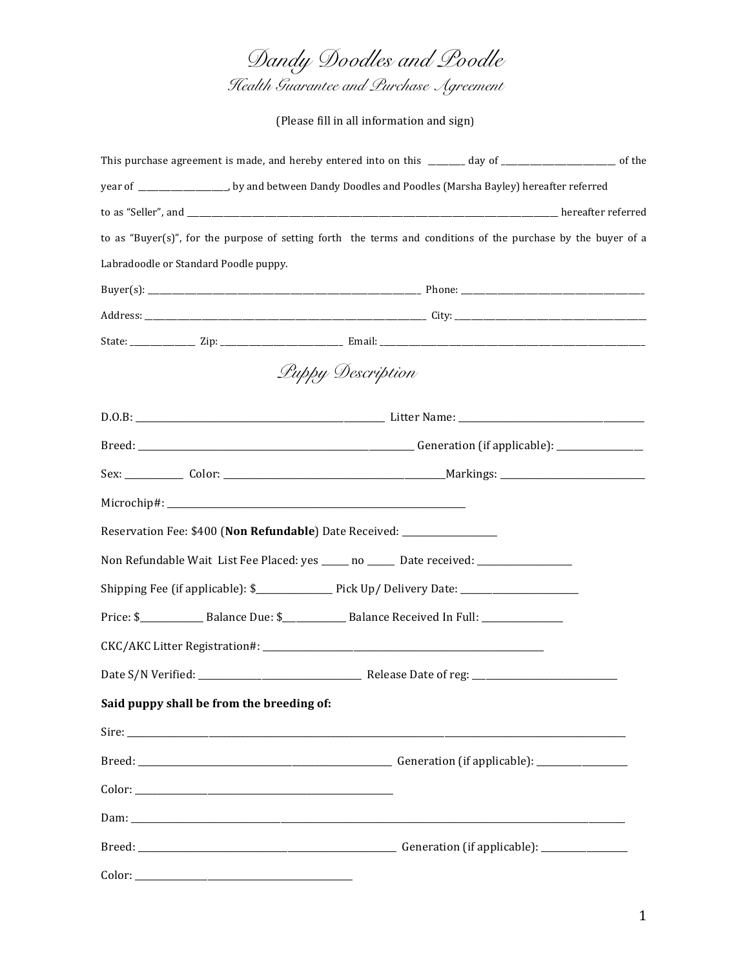*Dandy Doodles and Poodle Health Guarantee and Purchase Agreement*

(Please fill in all information and sign)

| This purchase agreement is made, and hereby entered into on this ______ day of _______________________ of the |  |
|---------------------------------------------------------------------------------------------------------------|--|
| year of __________________, by and between Dandy Doodles and Poodles (Marsha Bayley) hereafter referred       |  |
|                                                                                                               |  |
| to as "Buyer(s)", for the purpose of setting forth the terms and conditions of the purchase by the buyer of a |  |
| Labradoodle or Standard Poodle puppy.                                                                         |  |
|                                                                                                               |  |
|                                                                                                               |  |
|                                                                                                               |  |
| Luppy Description                                                                                             |  |
|                                                                                                               |  |
|                                                                                                               |  |
|                                                                                                               |  |
|                                                                                                               |  |
| Reservation Fee: \$400 (Non Refundable) Date Received: _________________                                      |  |
| Non Refundable Wait List Fee Placed: yes ____ no _____ Date received: ______________                          |  |
| Shipping Fee (if applicable): \$_________________ Pick Up/ Delivery Date: __________________________          |  |
| Price: \$________________ Balance Due: \$________________ Balance Received In Full: _________________         |  |
|                                                                                                               |  |
|                                                                                                               |  |
| Said puppy shall be from the breeding of:                                                                     |  |
|                                                                                                               |  |
|                                                                                                               |  |
|                                                                                                               |  |
|                                                                                                               |  |
|                                                                                                               |  |
|                                                                                                               |  |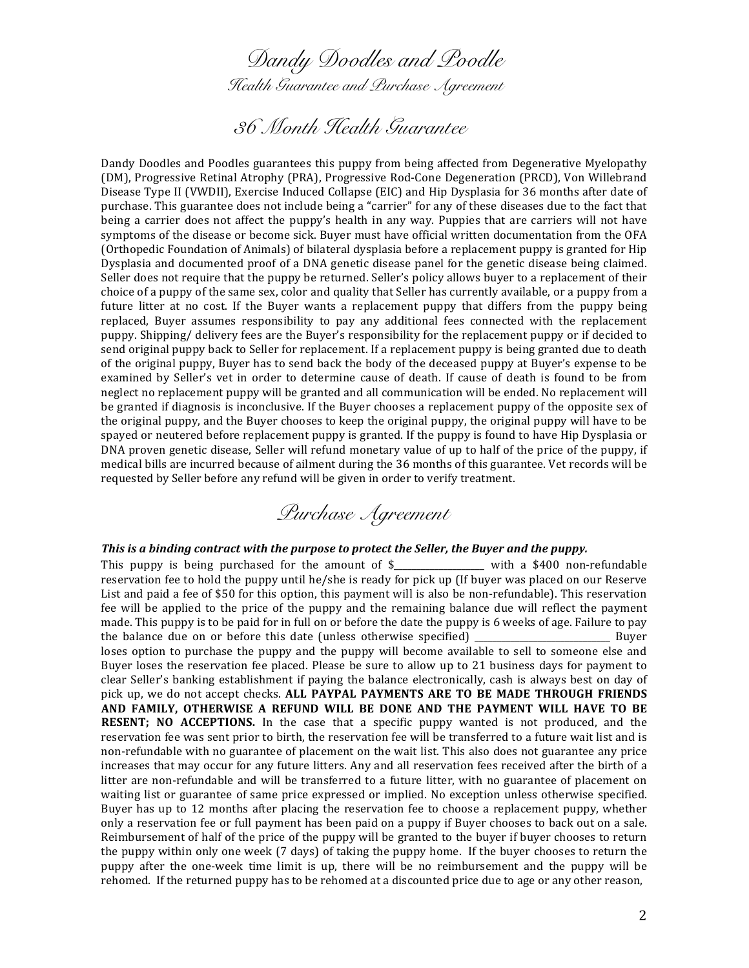*Dandy Doodles and Poodle Health Guarantee and Purchase Agreement*

# *36 Month Health Guarantee*

Dandy Doodles and Poodles guarantees this puppy from being affected from Degenerative Myelopathy (DM), Progressive Retinal Atrophy (PRA), Progressive Rod-Cone Degeneration (PRCD), Von Willebrand Disease Type II (VWDII), Exercise Induced Collapse (EIC) and Hip Dysplasia for 36 months after date of purchase. This guarantee does not include being a "carrier" for any of these diseases due to the fact that being a carrier does not affect the puppy's health in any way. Puppies that are carriers will not have symptoms of the disease or become sick. Buyer must have official written documentation from the OFA (Orthopedic Foundation of Animals) of bilateral dysplasia before a replacement puppy is granted for Hip Dysplasia and documented proof of a DNA genetic disease panel for the genetic disease being claimed. Seller does not require that the puppy be returned. Seller's policy allows buyer to a replacement of their choice of a puppy of the same sex, color and quality that Seller has currently available, or a puppy from a future litter at no cost. If the Buyer wants a replacement puppy that differs from the puppy being replaced, Buyer assumes responsibility to pay any additional fees connected with the replacement puppy. Shipping/ delivery fees are the Buyer's responsibility for the replacement puppy or if decided to send original puppy back to Seller for replacement. If a replacement puppy is being granted due to death of the original puppy, Buyer has to send back the body of the deceased puppy at Buyer's expense to be examined by Seller's vet in order to determine cause of death. If cause of death is found to be from neglect no replacement puppy will be granted and all communication will be ended. No replacement will be granted if diagnosis is inconclusive. If the Buyer chooses a replacement puppy of the opposite sex of the original puppy, and the Buyer chooses to keep the original puppy, the original puppy will have to be spayed or neutered before replacement puppy is granted. If the puppy is found to have Hip Dysplasia or DNA proven genetic disease, Seller will refund monetary value of up to half of the price of the puppy, if medical bills are incurred because of ailment during the 36 months of this guarantee. Vet records will be requested by Seller before any refund will be given in order to verify treatment.



#### This is a binding contract with the purpose to protect the Seller, the Buyer and the puppy.

This puppy is being purchased for the amount of  $\frac{1}{2}$  with a \$400 non-refundable reservation fee to hold the puppy until he/she is ready for pick up (If buyer was placed on our Reserve List and paid a fee of \$50 for this option, this payment will is also be non-refundable). This reservation fee will be applied to the price of the puppy and the remaining balance due will reflect the payment made. This puppy is to be paid for in full on or before the date the puppy is 6 weeks of age. Failure to pay the balance due on or before this date (unless otherwise specified) \_\_\_\_\_\_\_\_\_\_\_\_\_\_\_\_\_\_\_\_\_\_\_\_\_\_\_\_\_\_ Buyer loses option to purchase the puppy and the puppy will become available to sell to someone else and Buyer loses the reservation fee placed. Please be sure to allow up to 21 business days for payment to clear Seller's banking establishment if paying the balance electronically, cash is always best on day of pick up, we do not accept checks. ALL PAYPAL PAYMENTS ARE TO BE MADE THROUGH FRIENDS AND FAMILY, OTHERWISE A REFUND WILL BE DONE AND THE PAYMENT WILL HAVE TO BE **RESENT;** NO ACCEPTIONS. In the case that a specific puppy wanted is not produced, and the reservation fee was sent prior to birth, the reservation fee will be transferred to a future wait list and is non-refundable with no guarantee of placement on the wait list. This also does not guarantee any price increases that may occur for any future litters. Any and all reservation fees received after the birth of a litter are non-refundable and will be transferred to a future litter, with no guarantee of placement on waiting list or guarantee of same price expressed or implied. No exception unless otherwise specified. Buyer has up to 12 months after placing the reservation fee to choose a replacement puppy, whether only a reservation fee or full payment has been paid on a puppy if Buyer chooses to back out on a sale. Reimbursement of half of the price of the puppy will be granted to the buyer if buyer chooses to return the puppy within only one week (7 days) of taking the puppy home. If the buyer chooses to return the puppy after the one-week time limit is up, there will be no reimbursement and the puppy will be rehomed. If the returned puppy has to be rehomed at a discounted price due to age or any other reason,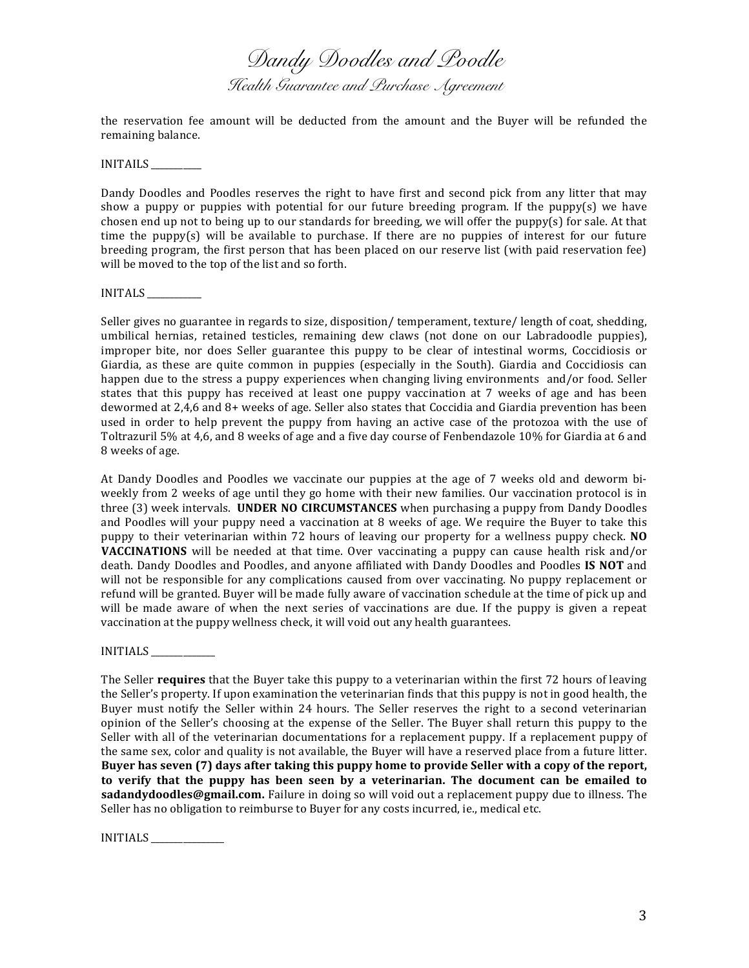*Dandy Doodles and Poodle Health Guarantee and Purchase Agreement*

the reservation fee amount will be deducted from the amount and the Buyer will be refunded the remaining balance.

INITAILS

Dandy Doodles and Poodles reserves the right to have first and second pick from any litter that may show a puppy or puppies with potential for our future breeding program. If the puppy(s) we have chosen end up not to being up to our standards for breeding, we will offer the puppy(s) for sale. At that time the puppy(s) will be available to purchase. If there are no puppies of interest for our future breeding program, the first person that has been placed on our reserve list (with paid reservation fee) will be moved to the top of the list and so forth.

INITALS

Seller gives no guarantee in regards to size, disposition/ temperament, texture/ length of coat, shedding, umbilical hernias, retained testicles, remaining dew claws (not done on our Labradoodle puppies), improper bite, nor does Seller guarantee this puppy to be clear of intestinal worms, Coccidiosis or Giardia, as these are quite common in puppies (especially in the South). Giardia and Coccidiosis can happen due to the stress a puppy experiences when changing living environments and/or food. Seller states that this puppy has received at least one puppy vaccination at 7 weeks of age and has been dewormed at 2,4,6 and 8+ weeks of age. Seller also states that Coccidia and Giardia prevention has been used in order to help prevent the puppy from having an active case of the protozoa with the use of Toltrazuril 5% at 4,6, and 8 weeks of age and a five day course of Fenbendazole 10% for Giardia at 6 and 8 weeks of age.

At Dandy Doodles and Poodles we vaccinate our puppies at the age of 7 weeks old and deworm biweekly from 2 weeks of age until they go home with their new families. Our vaccination protocol is in three (3) week intervals. **UNDER NO CIRCUMSTANCES** when purchasing a puppy from Dandy Doodles and Poodles will your puppy need a vaccination at 8 weeks of age. We require the Buyer to take this puppy to their veterinarian within 72 hours of leaving our property for a wellness puppy check. **NO VACCINATIONS** will be needed at that time. Over vaccinating a puppy can cause health risk and/or death. Dandy Doodles and Poodles, and anyone affiliated with Dandy Doodles and Poodles IS NOT and will not be responsible for any complications caused from over vaccinating. No puppy replacement or refund will be granted. Buyer will be made fully aware of vaccination schedule at the time of pick up and will be made aware of when the next series of vaccinations are due. If the puppy is given a repeat vaccination at the puppy wellness check, it will void out any health guarantees.

INITIALS

The Seller **requires** that the Buyer take this puppy to a veterinarian within the first 72 hours of leaving the Seller's property. If upon examination the veterinarian finds that this puppy is not in good health, the Buyer must notify the Seller within 24 hours. The Seller reserves the right to a second veterinarian opinion of the Seller's choosing at the expense of the Seller. The Buyer shall return this puppy to the Seller with all of the veterinarian documentations for a replacement puppy. If a replacement puppy of the same sex, color and quality is not available, the Buyer will have a reserved place from a future litter. Buyer has seven (7) days after taking this puppy home to provide Seller with a copy of the report, to verify that the puppy has been seen by a veterinarian. The document can be emailed to **sadandydoodles@gmail.com.** Failure in doing so will void out a replacement puppy due to illness. The Seller has no obligation to reimburse to Buyer for any costs incurred, ie., medical etc.

INITIALS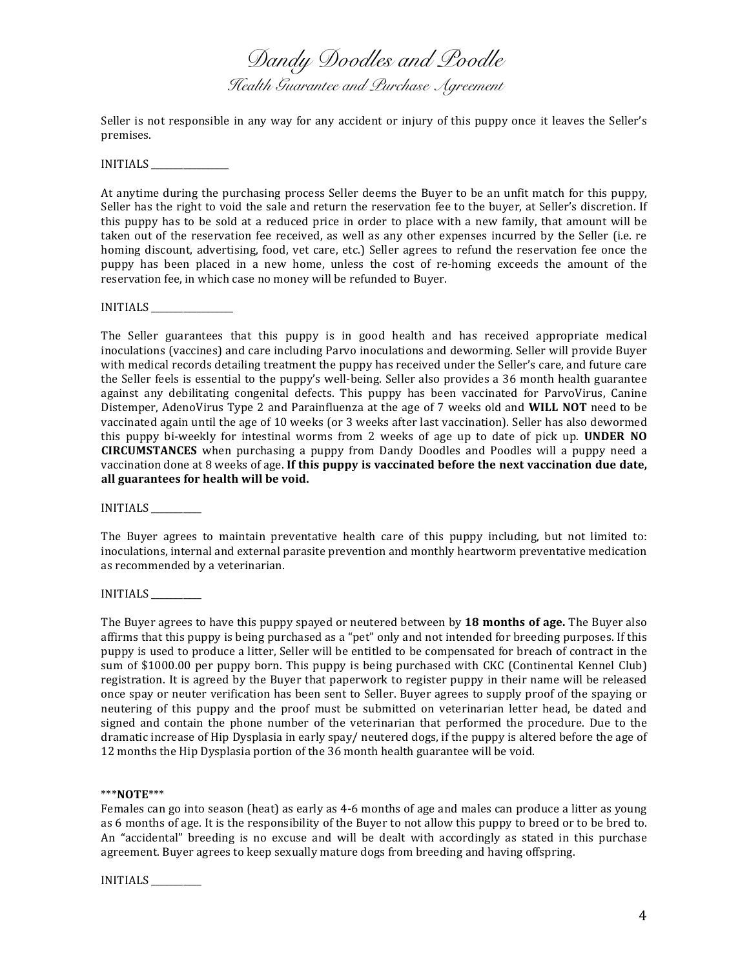*Dandy Doodles and Poodle Health Guarantee and Purchase Agreement*

Seller is not responsible in any way for any accident or injury of this puppy once it leaves the Seller's premises.

INITIALS

At anytime during the purchasing process Seller deems the Buyer to be an unfit match for this puppy, Seller has the right to void the sale and return the reservation fee to the buyer, at Seller's discretion. If this puppy has to be sold at a reduced price in order to place with a new family, that amount will be taken out of the reservation fee received, as well as any other expenses incurred by the Seller (i.e. re homing discount, advertising, food, vet care, etc.) Seller agrees to refund the reservation fee once the puppy has been placed in a new home, unless the cost of re-homing exceeds the amount of the reservation fee, in which case no money will be refunded to Buyer.

INITIALS \_\_\_\_\_\_\_\_\_\_\_\_\_\_\_\_\_\_

The Seller guarantees that this puppy is in good health and has received appropriate medical inoculations (vaccines) and care including Parvo inoculations and deworming. Seller will provide Buyer with medical records detailing treatment the puppy has received under the Seller's care, and future care the Seller feels is essential to the puppy's well-being. Seller also provides a 36 month health guarantee against any debilitating congenital defects. This puppy has been vaccinated for ParvoVirus, Canine Distemper, AdenoVirus Type 2 and Parainfluenza at the age of 7 weeks old and **WILL NOT** need to be vaccinated again until the age of 10 weeks (or 3 weeks after last vaccination). Seller has also dewormed this puppy bi-weekly for intestinal worms from 2 weeks of age up to date of pick up. **UNDER NO CIRCUMSTANCES** when purchasing a puppy from Dandy Doodles and Poodles will a puppy need a vaccination done at 8 weeks of age. If this puppy is vaccinated before the next vaccination due date, all guarantees for health will be void.

INITIALS

The Buyer agrees to maintain preventative health care of this puppy including, but not limited to: inoculations, internal and external parasite prevention and monthly heartworm preventative medication as recommended by a veterinarian.

INITIALS \_\_\_\_\_\_\_\_\_\_\_

The Buyer agrees to have this puppy spayed or neutered between by 18 months of age. The Buyer also affirms that this puppy is being purchased as a "pet" only and not intended for breeding purposes. If this puppy is used to produce a litter, Seller will be entitled to be compensated for breach of contract in the sum of \$1000.00 per puppy born. This puppy is being purchased with CKC (Continental Kennel Club) registration. It is agreed by the Buyer that paperwork to register puppy in their name will be released once spay or neuter verification has been sent to Seller. Buyer agrees to supply proof of the spaying or neutering of this puppy and the proof must be submitted on veterinarian letter head, be dated and signed and contain the phone number of the veterinarian that performed the procedure. Due to the dramatic increase of Hip Dysplasia in early spay/ neutered dogs, if the puppy is altered before the age of 12 months the Hip Dysplasia portion of the 36 month health guarantee will be void.

\*\*\***NOTE**\*\*\*

Females can go into season (heat) as early as 4-6 months of age and males can produce a litter as young as 6 months of age. It is the responsibility of the Buyer to not allow this puppy to breed or to be bred to. An "accidental" breeding is no excuse and will be dealt with accordingly as stated in this purchase agreement. Buyer agrees to keep sexually mature dogs from breeding and having offspring.

INITIALS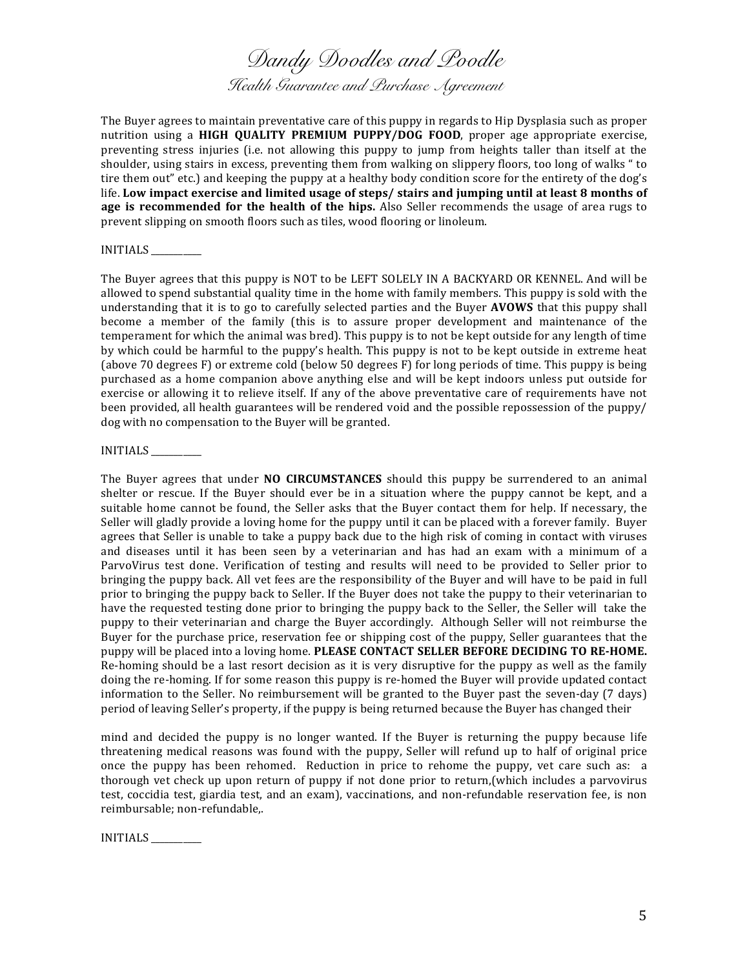*Dandy Doodles and Poodle Health Guarantee and Purchase Agreement*

The Buyer agrees to maintain preventative care of this puppy in regards to Hip Dysplasia such as proper nutrition using a **HIGH QUALITY PREMIUM PUPPY/DOG FOOD**, proper age appropriate exercise, preventing stress injuries (i.e. not allowing this puppy to jump from heights taller than itself at the shoulder, using stairs in excess, preventing them from walking on slippery floors, too long of walks " to tire them out" etc.) and keeping the puppy at a healthy body condition score for the entirety of the dog's life. Low impact exercise and limited usage of steps/ stairs and jumping until at least 8 months of **age** is recommended for the health of the hips. Also Seller recommends the usage of area rugs to prevent slipping on smooth floors such as tiles, wood flooring or linoleum.

### INITIALS

The Buyer agrees that this puppy is NOT to be LEFT SOLELY IN A BACKYARD OR KENNEL. And will be allowed to spend substantial quality time in the home with family members. This puppy is sold with the understanding that it is to go to carefully selected parties and the Buyer **AVOWS** that this puppy shall become a member of the family (this is to assure proper development and maintenance of the temperament for which the animal was bred). This puppy is to not be kept outside for any length of time by which could be harmful to the puppy's health. This puppy is not to be kept outside in extreme heat (above 70 degrees  $F$ ) or extreme cold (below 50 degrees  $F$ ) for long periods of time. This puppy is being purchased as a home companion above anything else and will be kept indoors unless put outside for exercise or allowing it to relieve itself. If any of the above preventative care of requirements have not been provided, all health guarantees will be rendered void and the possible repossession of the puppy/ dog with no compensation to the Buyer will be granted.

## INITIALS

The Buyer agrees that under **NO CIRCUMSTANCES** should this puppy be surrendered to an animal shelter or rescue. If the Buyer should ever be in a situation where the puppy cannot be kept, and a suitable home cannot be found, the Seller asks that the Buyer contact them for help. If necessary, the Seller will gladly provide a loving home for the puppy until it can be placed with a forever family. Buyer agrees that Seller is unable to take a puppy back due to the high risk of coming in contact with viruses and diseases until it has been seen by a veterinarian and has had an exam with a minimum of a ParvoVirus test done. Verification of testing and results will need to be provided to Seller prior to bringing the puppy back. All vet fees are the responsibility of the Buyer and will have to be paid in full prior to bringing the puppy back to Seller. If the Buyer does not take the puppy to their veterinarian to have the requested testing done prior to bringing the puppy back to the Seller, the Seller will take the puppy to their veterinarian and charge the Buyer accordingly. Although Seller will not reimburse the Buyer for the purchase price, reservation fee or shipping cost of the puppy, Seller guarantees that the puppy will be placed into a loving home. PLEASE CONTACT SELLER BEFORE DECIDING TO RE-HOME. Re-homing should be a last resort decision as it is very disruptive for the puppy as well as the family doing the re-homing. If for some reason this puppy is re-homed the Buyer will provide updated contact information to the Seller. No reimbursement will be granted to the Buyer past the seven-day  $(7 \text{ days})$ period of leaving Seller's property, if the puppy is being returned because the Buyer has changed their

mind and decided the puppy is no longer wanted. If the Buyer is returning the puppy because life threatening medical reasons was found with the puppy, Seller will refund up to half of original price once the puppy has been rehomed. Reduction in price to rehome the puppy, vet care such as: a thorough vet check up upon return of puppy if not done prior to return,(which includes a parvovirus test, coccidia test, giardia test, and an exam), vaccinations, and non-refundable reservation fee, is non reimbursable; non-refundable,.

INITIALS \_\_\_\_\_\_\_\_\_\_